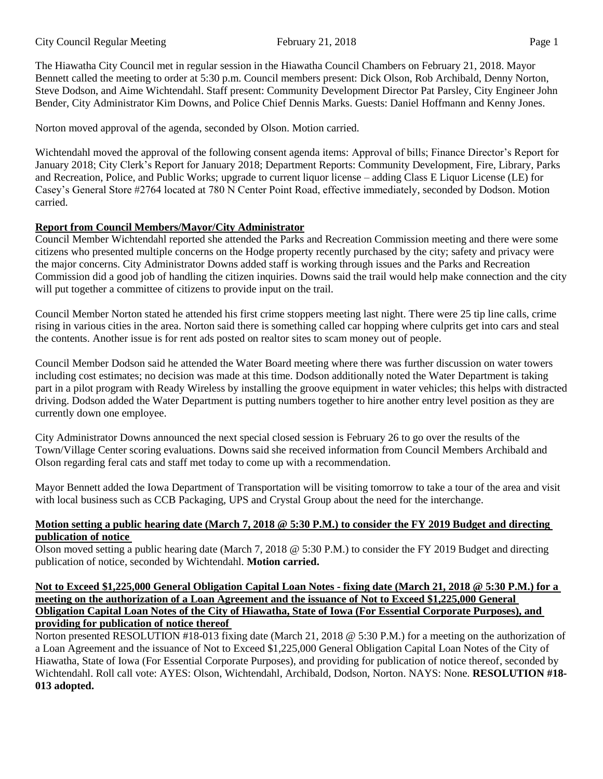The Hiawatha City Council met in regular session in the Hiawatha Council Chambers on February 21, 2018. Mayor Bennett called the meeting to order at 5:30 p.m. Council members present: Dick Olson, Rob Archibald, Denny Norton, Steve Dodson, and Aime Wichtendahl. Staff present: Community Development Director Pat Parsley, City Engineer John Bender, City Administrator Kim Downs, and Police Chief Dennis Marks. Guests: Daniel Hoffmann and Kenny Jones.

Norton moved approval of the agenda, seconded by Olson. Motion carried.

Wichtendahl moved the approval of the following consent agenda items: Approval of bills; Finance Director's Report for January 2018; City Clerk's Report for January 2018; Department Reports: Community Development, Fire, Library, Parks and Recreation, Police, and Public Works; upgrade to current liquor license – adding Class E Liquor License (LE) for Casey's General Store #2764 located at 780 N Center Point Road, effective immediately, seconded by Dodson. Motion carried.

# **Report from Council Members/Mayor/City Administrator**

Council Member Wichtendahl reported she attended the Parks and Recreation Commission meeting and there were some citizens who presented multiple concerns on the Hodge property recently purchased by the city; safety and privacy were the major concerns. City Administrator Downs added staff is working through issues and the Parks and Recreation Commission did a good job of handling the citizen inquiries. Downs said the trail would help make connection and the city will put together a committee of citizens to provide input on the trail.

Council Member Norton stated he attended his first crime stoppers meeting last night. There were 25 tip line calls, crime rising in various cities in the area. Norton said there is something called car hopping where culprits get into cars and steal the contents. Another issue is for rent ads posted on realtor sites to scam money out of people.

Council Member Dodson said he attended the Water Board meeting where there was further discussion on water towers including cost estimates; no decision was made at this time. Dodson additionally noted the Water Department is taking part in a pilot program with Ready Wireless by installing the groove equipment in water vehicles; this helps with distracted driving. Dodson added the Water Department is putting numbers together to hire another entry level position as they are currently down one employee.

City Administrator Downs announced the next special closed session is February 26 to go over the results of the Town/Village Center scoring evaluations. Downs said she received information from Council Members Archibald and Olson regarding feral cats and staff met today to come up with a recommendation.

Mayor Bennett added the Iowa Department of Transportation will be visiting tomorrow to take a tour of the area and visit with local business such as CCB Packaging, UPS and Crystal Group about the need for the interchange.

## **Motion setting a public hearing date (March 7, 2018 @ 5:30 P.M.) to consider the FY 2019 Budget and directing publication of notice**

Olson moved setting a public hearing date (March 7, 2018 @ 5:30 P.M.) to consider the FY 2019 Budget and directing publication of notice, seconded by Wichtendahl. **Motion carried.**

## **Not to Exceed \$1,225,000 General Obligation Capital Loan Notes - fixing date (March 21, 2018 @ 5:30 P.M.) for a meeting on the authorization of a Loan Agreement and the issuance of Not to Exceed \$1,225,000 General Obligation Capital Loan Notes of the City of Hiawatha, State of Iowa (For Essential Corporate Purposes), and providing for publication of notice thereof**

Norton presented RESOLUTION #18-013 fixing date (March 21, 2018 @ 5:30 P.M.) for a meeting on the authorization of a Loan Agreement and the issuance of Not to Exceed \$1,225,000 General Obligation Capital Loan Notes of the City of Hiawatha, State of Iowa (For Essential Corporate Purposes), and providing for publication of notice thereof, seconded by Wichtendahl. Roll call vote: AYES: Olson, Wichtendahl, Archibald, Dodson, Norton. NAYS: None. **RESOLUTION #18- 013 adopted.**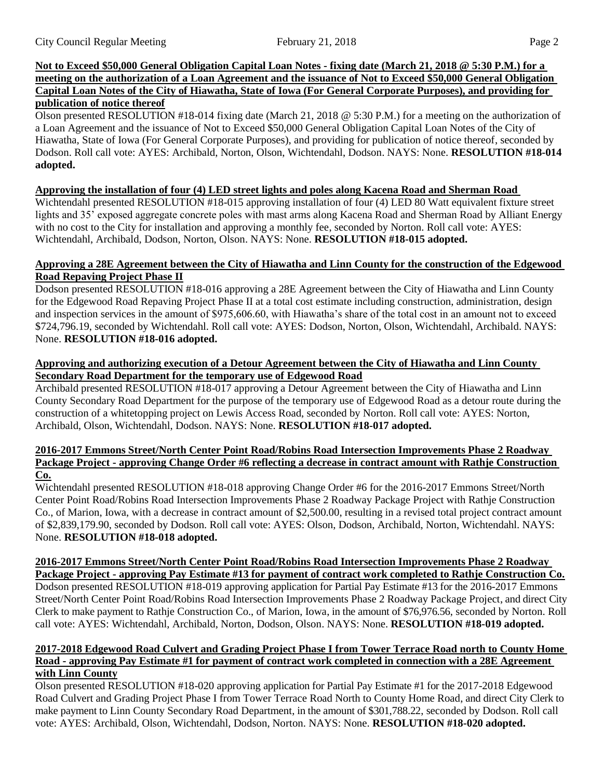## **Not to Exceed \$50,000 General Obligation Capital Loan Notes - fixing date (March 21, 2018 @ 5:30 P.M.) for a meeting on the authorization of a Loan Agreement and the issuance of Not to Exceed \$50,000 General Obligation Capital Loan Notes of the City of Hiawatha, State of Iowa (For General Corporate Purposes), and providing for publication of notice thereof**

Olson presented RESOLUTION #18-014 fixing date (March 21, 2018 @ 5:30 P.M.) for a meeting on the authorization of a Loan Agreement and the issuance of Not to Exceed \$50,000 General Obligation Capital Loan Notes of the City of Hiawatha, State of Iowa (For General Corporate Purposes), and providing for publication of notice thereof, seconded by Dodson. Roll call vote: AYES: Archibald, Norton, Olson, Wichtendahl, Dodson. NAYS: None. **RESOLUTION #18-014 adopted.**

## **Approving the installation of four (4) LED street lights and poles along Kacena Road and Sherman Road**

Wichtendahl presented RESOLUTION #18-015 approving installation of four (4) LED 80 Watt equivalent fixture street lights and 35' exposed aggregate concrete poles with mast arms along Kacena Road and Sherman Road by Alliant Energy with no cost to the City for installation and approving a monthly fee, seconded by Norton. Roll call vote: AYES: Wichtendahl, Archibald, Dodson, Norton, Olson. NAYS: None. **RESOLUTION #18-015 adopted.**

## **Approving a 28E Agreement between the City of Hiawatha and Linn County for the construction of the Edgewood Road Repaving Project Phase II**

Dodson presented RESOLUTION #18-016 approving a 28E Agreement between the City of Hiawatha and Linn County for the Edgewood Road Repaving Project Phase II at a total cost estimate including construction, administration, design and inspection services in the amount of \$975,606.60, with Hiawatha's share of the total cost in an amount not to exceed \$724,796.19, seconded by Wichtendahl. Roll call vote: AYES: Dodson, Norton, Olson, Wichtendahl, Archibald. NAYS: None. **RESOLUTION #18-016 adopted.**

## **Approving and authorizing execution of a Detour Agreement between the City of Hiawatha and Linn County Secondary Road Department for the temporary use of Edgewood Road**

Archibald presented RESOLUTION #18-017 approving a Detour Agreement between the City of Hiawatha and Linn County Secondary Road Department for the purpose of the temporary use of Edgewood Road as a detour route during the construction of a whitetopping project on Lewis Access Road, seconded by Norton. Roll call vote: AYES: Norton, Archibald, Olson, Wichtendahl, Dodson. NAYS: None. **RESOLUTION #18-017 adopted.**

#### **2016-2017 Emmons Street/North Center Point Road/Robins Road Intersection Improvements Phase 2 Roadway Package Project - approving Change Order #6 reflecting a decrease in contract amount with Rathje Construction Co.**

Wichtendahl presented RESOLUTION #18-018 approving Change Order #6 for the 2016-2017 Emmons Street/North Center Point Road/Robins Road Intersection Improvements Phase 2 Roadway Package Project with Rathje Construction Co., of Marion, Iowa, with a decrease in contract amount of \$2,500.00, resulting in a revised total project contract amount of \$2,839,179.90, seconded by Dodson. Roll call vote: AYES: Olson, Dodson, Archibald, Norton, Wichtendahl. NAYS: None. **RESOLUTION #18-018 adopted.**

# **2016-2017 Emmons Street/North Center Point Road/Robins Road Intersection Improvements Phase 2 Roadway**

**Package Project - approving Pay Estimate #13 for payment of contract work completed to Rathje Construction Co.** Dodson presented RESOLUTION #18-019 approving application for Partial Pay Estimate #13 for the 2016-2017 Emmons Street/North Center Point Road/Robins Road Intersection Improvements Phase 2 Roadway Package Project, and direct City Clerk to make payment to Rathje Construction Co., of Marion, Iowa, in the amount of \$76,976.56, seconded by Norton. Roll call vote: AYES: Wichtendahl, Archibald, Norton, Dodson, Olson. NAYS: None. **RESOLUTION #18-019 adopted.**

#### **2017-2018 Edgewood Road Culvert and Grading Project Phase I from Tower Terrace Road north to County Home Road - approving Pay Estimate #1 for payment of contract work completed in connection with a 28E Agreement with Linn County**

Olson presented RESOLUTION #18-020 approving application for Partial Pay Estimate #1 for the 2017-2018 Edgewood Road Culvert and Grading Project Phase I from Tower Terrace Road North to County Home Road, and direct City Clerk to make payment to Linn County Secondary Road Department, in the amount of \$301,788.22, seconded by Dodson. Roll call vote: AYES: Archibald, Olson, Wichtendahl, Dodson, Norton. NAYS: None. **RESOLUTION #18-020 adopted.**